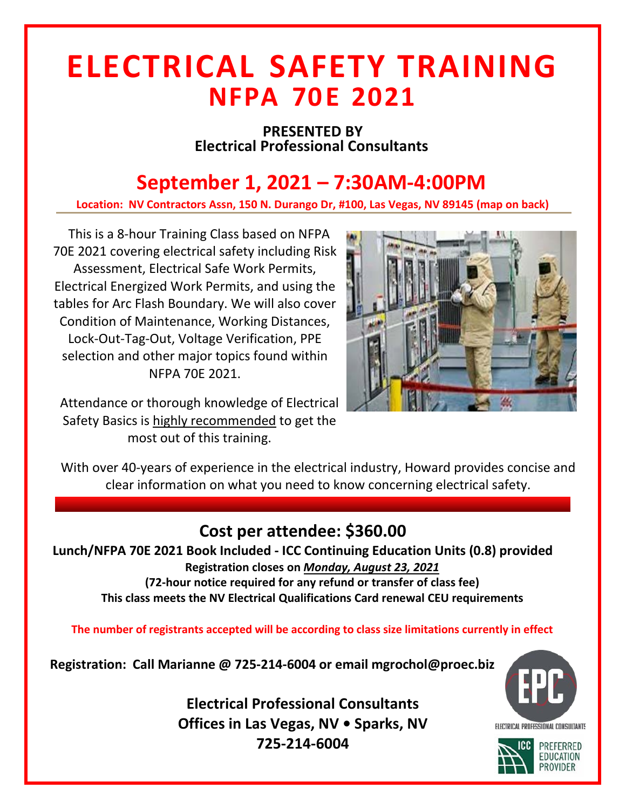## **ELECTRICAL SAFETY TRAINING NFPA 70 E 2021**

#### **PRESENTED BY Electrical Professional Consultants**

## **September , 2021 – 7:30AM-4:00PM**

**Location: NV Contractors Assn, 150 N. Durango Dr, #100, Las Vegas, NV 89145 (map on back)**

This is a 8-hour Training Class based on NFPA 70E 2021 covering electrical safety including Risk Assessment, Electrical Safe Work Permits, Electrical Energized Work Permits, and using the tables for Arc Flash Boundary. We will also cover Condition of Maintenance, Working Distances, Lock-Out-Tag-Out, Voltage Verification, PPE selection and other major topics found within NFPA 70E 2021.

Attendance or thorough knowledge of Electrical Safety Basics is highly recommended to get the most out of this training.



With over 40-years of experience in the electrical industry, Howard provides concise and clear information on what you need to know concerning electrical safety.

### **Cost per attendee: \$360.00**

**Lunch/NFPA 70E 2021 Book Included - ICC Continuing Education Units (0.8) provided Registration closes on** *Monday, August 23, 2021* **(72-hour notice required for any refund or transfer of class fee) This class meets the NV Electrical Qualifications Card renewal CEU requirements** 

**The number of registrants accepted will be according to class size limitations currently in effect**

**Registration: Call Marianne @ 725-214-6004 or email mgrochol@proec.biz**

**Electrical Professional Consultants Offices in Las Vegas, NV • Sparks, NV 725-214-6004**